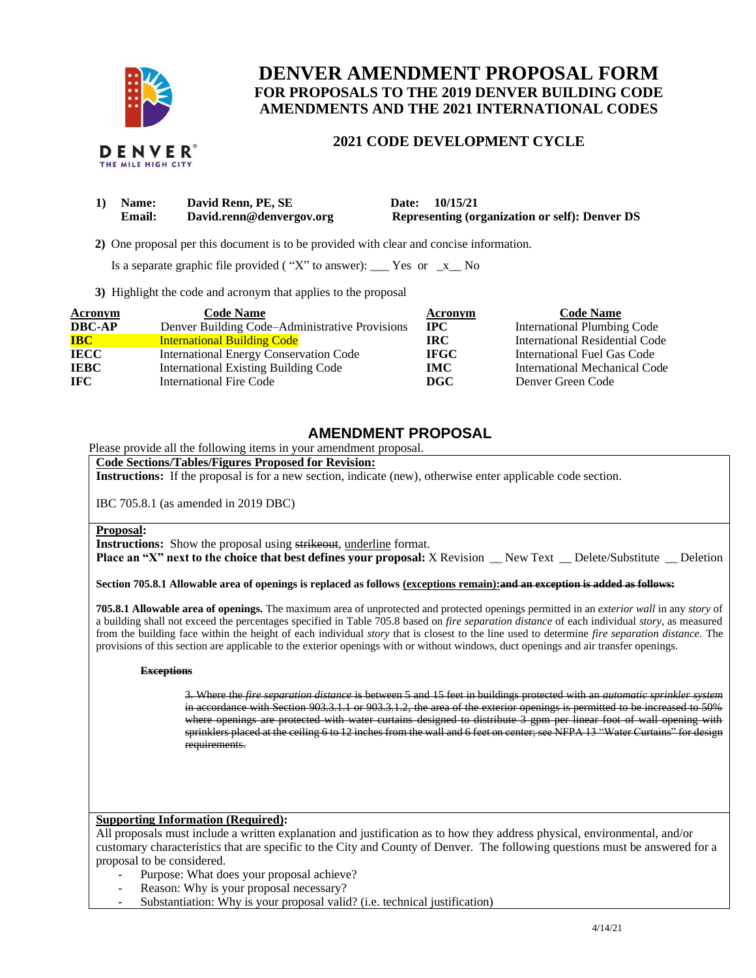

THE MILE HIGH CITY

# **DENVER AMENDMENT PROPOSAL FORM FOR PROPOSALS TO THE 2019 DENVER BUILDING CODE AMENDMENTS AND THE 2021 INTERNATIONAL CODES**

## **2021 CODE DEVELOPMENT CYCLE**

| 1) Name: | David Renn, PE, SE       | 10/15/21<br><b>Date:</b>                              |
|----------|--------------------------|-------------------------------------------------------|
| Email:   | David.renn@denvergov.org | <b>Representing (organization or self): Denver DS</b> |

 **2)** One proposal per this document is to be provided with clear and concise information.

Is a separate graphic file provided ("X" to answer): \_\_\_ Yes or  $-x$  No

**3)** Highlight the code and acronym that applies to the proposal

| Acronym                           | <b>Code Name</b>                               | Acronym      | <b>Code Name</b>                   |
|-----------------------------------|------------------------------------------------|--------------|------------------------------------|
| <b>DBC-AP</b>                     | Denver Building Code–Administrative Provisions | $_{\rm IPC}$ | <b>International Plumbing Code</b> |
| $\overline{\mathbf{B}}\mathbf{C}$ | <b>International Building Code</b>             | IRC.         | International Residential Code     |
| <b>IECC</b>                       | <b>International Energy Conservation Code</b>  | <b>IFGC</b>  | <b>International Fuel Gas Code</b> |
| <b>IEBC</b>                       | <b>International Existing Building Code</b>    | IMC.         | International Mechanical Code      |
| <b>IFC</b>                        | International Fire Code                        | DGC          | Denver Green Code                  |

## **AMENDMENT PROPOSAL**

Please provide all the following items in your amendment proposal.

## **Code Sections/Tables/Figures Proposed for Revision:**

**Instructions:** If the proposal is for a new section, indicate (new), otherwise enter applicable code section.

IBC 705.8.1 (as amended in 2019 DBC)

#### **Proposal:**

**Instructions:** Show the proposal using strikeout, underline format.

**Place an "X" next to the choice that best defines your proposal:** X Revision \_\_ New Text \_\_ Delete/Substitute \_\_ Deletion

**Section 705.8.1 Allowable area of openings is replaced as follows (exceptions remain):and an exception is added as follows:**

**705.8.1 Allowable area of openings.** The maximum area of unprotected and protected openings permitted in an *exterior wall* in any *story* of a building shall not exceed the percentages specified in Table 705.8 based on *fire separation distance* of each individual *story*, as measured from the building face within the height of each individual *story* that is closest to the line used to determine *fire separation distance*. The provisions of this section are applicable to the exterior openings with or without windows, duct openings and air transfer openings.

#### **Exceptions**

3. Where the *fire separation distance* is between 5 and 15 feet in buildings protected with an *automatic sprinkler system* in accordance with Section 903.3.1.1 or 903.3.1.2, the area of the exterior openings is permitted to be increased to 50% where openings are protected with water curtains designed to distribute 3 gpm per linear foot of wall opening with sprinklers placed at the ceiling 6 to 12 inches from the wall and 6 feet on center; see NFPA 13 "Water Curtains" for design requirements.

#### **Supporting Information (Required):**

All proposals must include a written explanation and justification as to how they address physical, environmental, and/or customary characteristics that are specific to the City and County of Denver. The following questions must be answered for a proposal to be considered.

- Purpose: What does your proposal achieve?
- Reason: Why is your proposal necessary?
- Substantiation: Why is your proposal valid? (i.e. technical justification)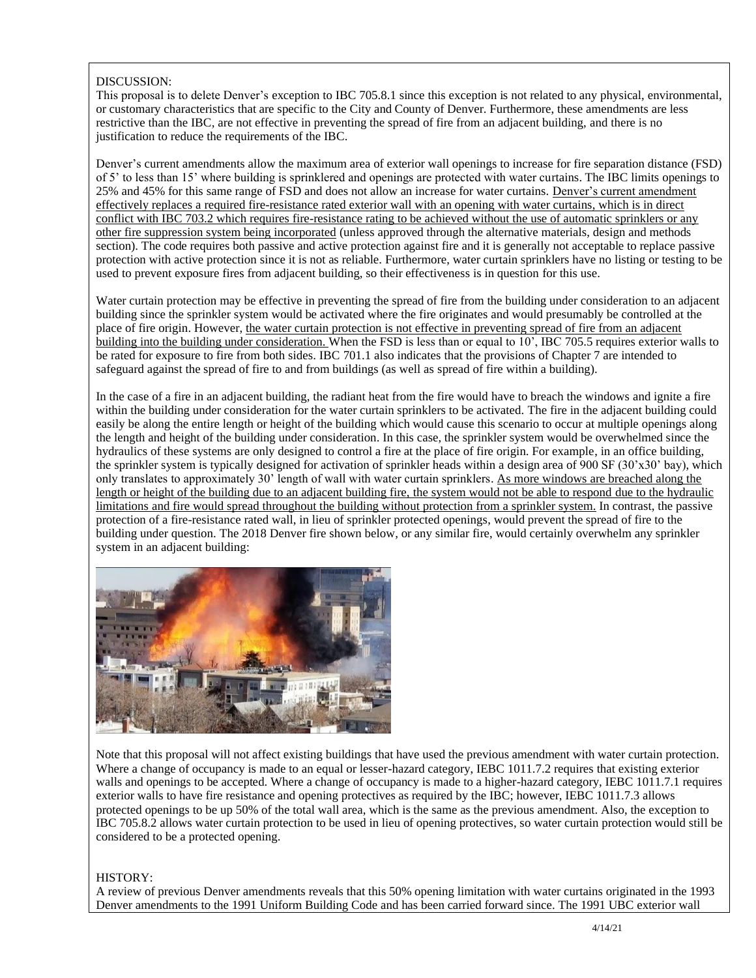## DISCUSSION:

This proposal is to delete Denver's exception to IBC 705.8.1 since this exception is not related to any physical, environmental, or customary characteristics that are specific to the City and County of Denver. Furthermore, these amendments are less restrictive than the IBC, are not effective in preventing the spread of fire from an adjacent building, and there is no justification to reduce the requirements of the IBC.

Denver's current amendments allow the maximum area of exterior wall openings to increase for fire separation distance (FSD) of 5' to less than 15' where building is sprinklered and openings are protected with water curtains. The IBC limits openings to 25% and 45% for this same range of FSD and does not allow an increase for water curtains. Denver's current amendment effectively replaces a required fire-resistance rated exterior wall with an opening with water curtains, which is in direct conflict with IBC 703.2 which requires fire-resistance rating to be achieved without the use of automatic sprinklers or any other fire suppression system being incorporated (unless approved through the alternative materials, design and methods section). The code requires both passive and active protection against fire and it is generally not acceptable to replace passive protection with active protection since it is not as reliable. Furthermore, water curtain sprinklers have no listing or testing to be used to prevent exposure fires from adjacent building, so their effectiveness is in question for this use.

Water curtain protection may be effective in preventing the spread of fire from the building under consideration to an adjacent building since the sprinkler system would be activated where the fire originates and would presumably be controlled at the place of fire origin. However, the water curtain protection is not effective in preventing spread of fire from an adjacent building into the building under consideration. When the FSD is less than or equal to 10', IBC 705.5 requires exterior walls to be rated for exposure to fire from both sides. IBC 701.1 also indicates that the provisions of Chapter 7 are intended to safeguard against the spread of fire to and from buildings (as well as spread of fire within a building).

In the case of a fire in an adjacent building, the radiant heat from the fire would have to breach the windows and ignite a fire within the building under consideration for the water curtain sprinklers to be activated. The fire in the adjacent building could easily be along the entire length or height of the building which would cause this scenario to occur at multiple openings along the length and height of the building under consideration. In this case, the sprinkler system would be overwhelmed since the hydraulics of these systems are only designed to control a fire at the place of fire origin. For example, in an office building, the sprinkler system is typically designed for activation of sprinkler heads within a design area of 900 SF (30'x30' bay), which only translates to approximately 30' length of wall with water curtain sprinklers. As more windows are breached along the length or height of the building due to an adjacent building fire, the system would not be able to respond due to the hydraulic limitations and fire would spread throughout the building without protection from a sprinkler system. In contrast, the passive protection of a fire-resistance rated wall, in lieu of sprinkler protected openings, would prevent the spread of fire to the building under question. The 2018 Denver fire shown below, or any similar fire, would certainly overwhelm any sprinkler system in an adjacent building:



Note that this proposal will not affect existing buildings that have used the previous amendment with water curtain protection. Where a change of occupancy is made to an equal or lesser-hazard category, IEBC 1011.7.2 requires that existing exterior walls and openings to be accepted. Where a change of occupancy is made to a higher-hazard category, IEBC 1011.7.1 requires exterior walls to have fire resistance and opening protectives as required by the IBC; however, IEBC 1011.7.3 allows protected openings to be up 50% of the total wall area, which is the same as the previous amendment. Also, the exception to IBC 705.8.2 allows water curtain protection to be used in lieu of opening protectives, so water curtain protection would still be considered to be a protected opening.

### HISTORY:

A review of previous Denver amendments reveals that this 50% opening limitation with water curtains originated in the 1993 Denver amendments to the 1991 Uniform Building Code and has been carried forward since. The 1991 UBC exterior wall